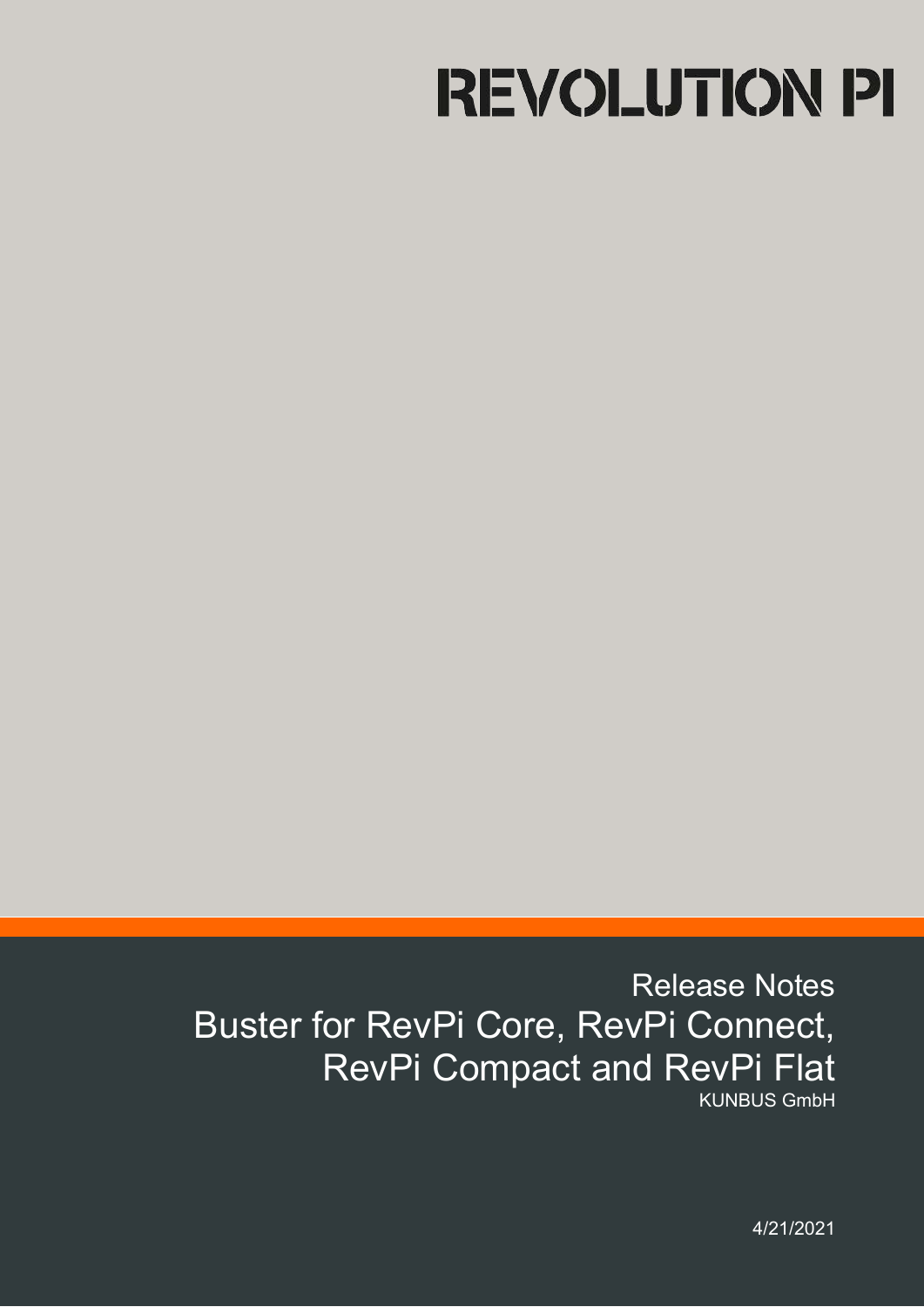# **REVOLUTION PI**

# Release Notes Buster for RevPi Core, RevPi Connect, RevPi Compact and RevPi Flat KUNBUS GmbH

4/21/2021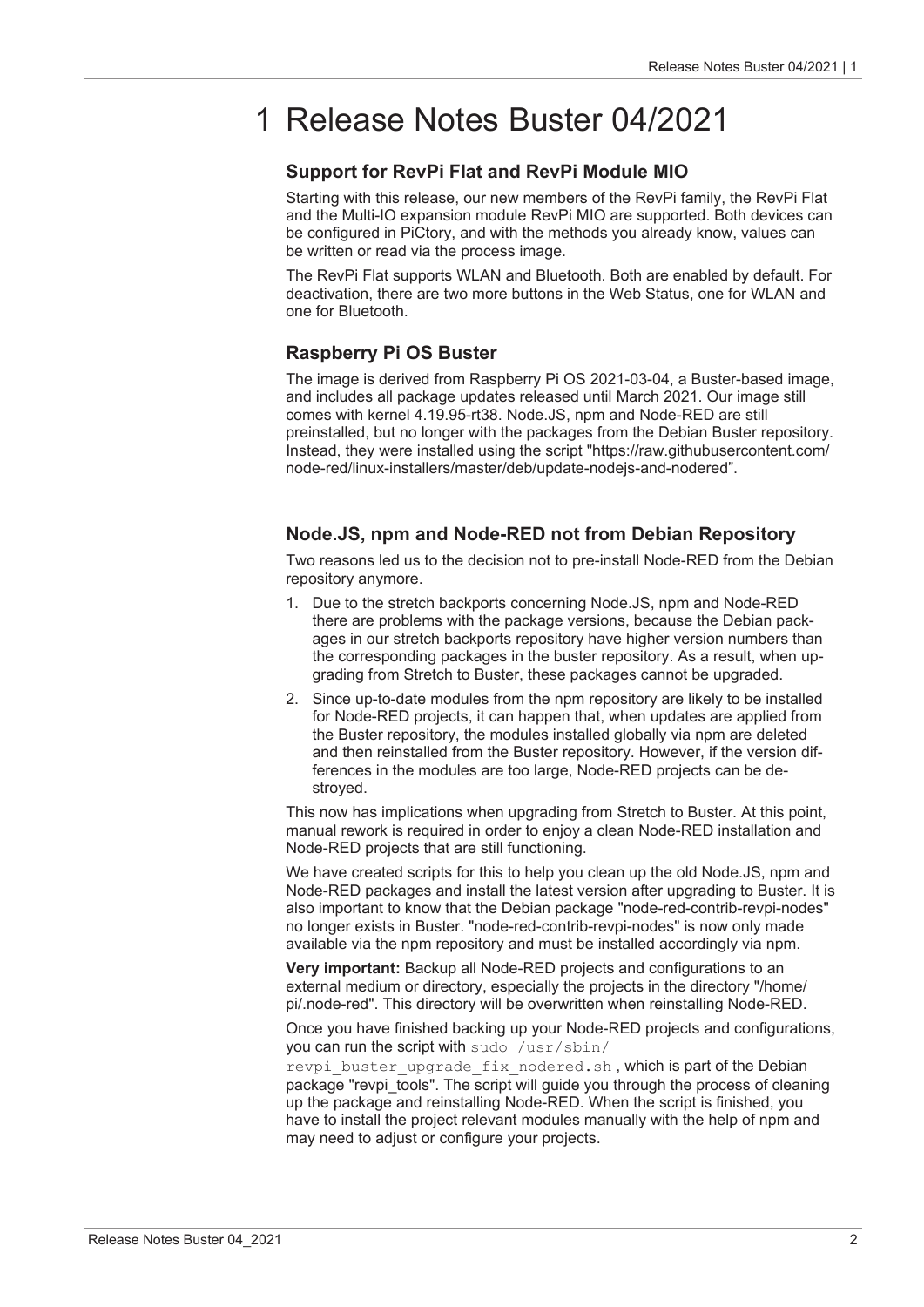# 1 Release Notes Buster 04/2021

#### **Support for RevPi Flat and RevPi Module MIO**

Starting with this release, our new members of the RevPi family, the RevPi Flat and the Multi-IO expansion module RevPi MIO are supported. Both devices can be configured in PiCtory, and with the methods you already know, values can be written or read via the process image.

The RevPi Flat supports WLAN and Bluetooth. Both are enabled by default. For deactivation, there are two more buttons in the Web Status, one for WLAN and one for Bluetooth.

# **Raspberry Pi OS Buster**

The image is derived from Raspberry Pi OS 2021-03-04, a Buster-based image, and includes all package updates released until March 2021. Our image still comes with kernel 4.19.95-rt38. Node.JS, npm and Node-RED are still preinstalled, but no longer with the packages from the Debian Buster repository. Instead, they were installed using the script "https://raw.githubusercontent.com/ node-red/linux-installers/master/deb/update-nodejs-and-nodered".

## **Node.JS, npm and Node-RED not from Debian Repository**

Two reasons led us to the decision not to pre-install Node-RED from the Debian repository anymore.

- 1. Due to the stretch backports concerning Node.JS, npm and Node-RED there are problems with the package versions, because the Debian packages in our stretch backports repository have higher version numbers than the corresponding packages in the buster repository. As a result, when upgrading from Stretch to Buster, these packages cannot be upgraded.
- 2. Since up-to-date modules from the npm repository are likely to be installed for Node-RED projects, it can happen that, when updates are applied from the Buster repository, the modules installed globally via npm are deleted and then reinstalled from the Buster repository. However, if the version differences in the modules are too large, Node-RED projects can be destroyed.

This now has implications when upgrading from Stretch to Buster. At this point, manual rework is required in order to enjoy a clean Node-RED installation and Node-RED projects that are still functioning.

We have created scripts for this to help you clean up the old Node.JS, npm and Node-RED packages and install the latest version after upgrading to Buster. It is also important to know that the Debian package "node-red-contrib-revpi-nodes" no longer exists in Buster. "node-red-contrib-revpi-nodes" is now only made available via the npm repository and must be installed accordingly via npm.

**Very important:** Backup all Node-RED projects and configurations to an external medium or directory, especially the projects in the directory "/home/ pi/.node-red". This directory will be overwritten when reinstalling Node-RED.

Once you have finished backing up your Node-RED projects and configurations, you can run the script with sudo /usr/sbin/

revpi buster upgrade fix nodered.sh, which is part of the Debian package "revpi tools". The script will guide you through the process of cleaning up the package and reinstalling Node-RED. When the script is finished, you have to install the project relevant modules manually with the help of npm and may need to adjust or configure your projects.